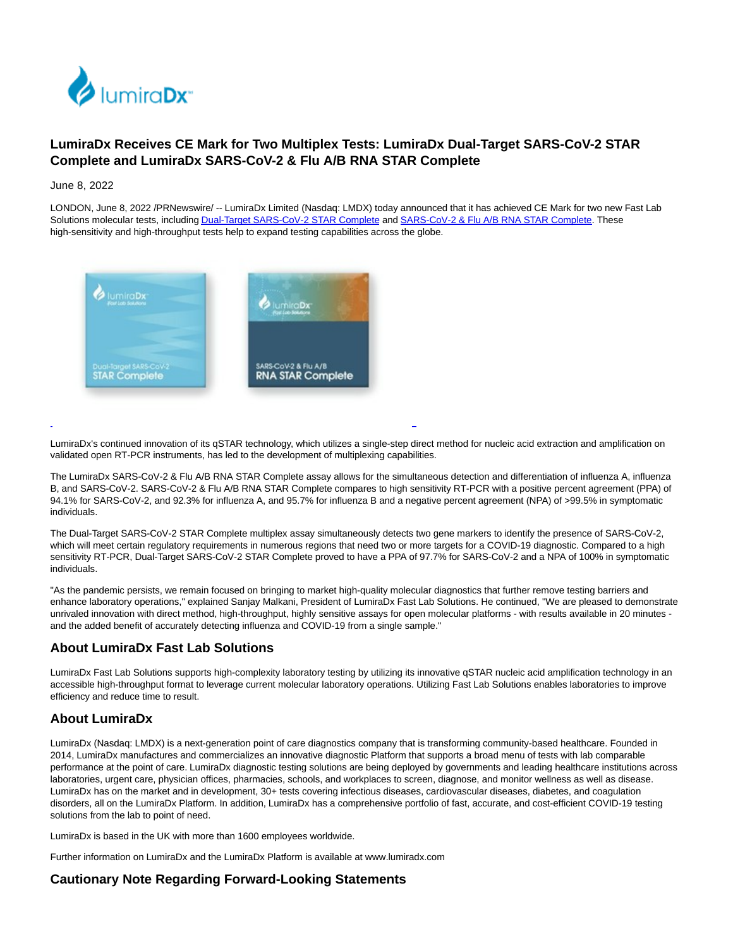

# **LumiraDx Receives CE Mark for Two Multiplex Tests: LumiraDx Dual-Target SARS-CoV-2 STAR Complete and LumiraDx SARS-CoV-2 & Flu A/B RNA STAR Complete**

June 8, 2022

LONDON, June 8, 2022 /PRNewswire/ -- LumiraDx Limited (Nasdaq: LMDX) today announced that it has achieved CE Mark for two new Fast Lab Solutions molecular tests, includin[g Dual-Target SARS-CoV-2 STAR Complete a](https://c212.net/c/link/?t=0&l=en&o=3560802-1&h=2907878302&u=https%3A%2F%2Fwww.lumiradx.com%2Fuk-en%2Fwhat-we-do%2Fdiagnostics%2Ffast-lab-solutions%2Fdual-target-sars-cov-2-star-complete&a=Dual-Target+SARS-CoV-2+STAR+Complete)nd [SARS-CoV-2 & Flu A/B RNA STAR Complete.](https://c212.net/c/link/?t=0&l=en&o=3560802-1&h=58610544&u=https%3A%2F%2Flumiradx.com%2Fuk-en%2Fwhat-we-do%2Fdiagnostics%2Ffast-lab-solutions%2Fsars-cov-2-and-flu-a-b-rna-star-complete&a=SARS-CoV-2+%26+Flu+A%2FB+RNA+STAR+Complete) These high-sensitivity and high-throughput tests help to expand testing capabilities across the globe.



LumiraDx's continued innovation of its qSTAR technology, which utilizes a single-step direct method for nucleic acid extraction and amplification on validated open RT-PCR instruments, has led to the development of multiplexing capabilities.

L

The LumiraDx SARS-CoV-2 & Flu A/B RNA STAR Complete assay allows for the simultaneous detection and differentiation of influenza A, influenza B, and SARS-CoV-2. SARS-CoV-2 & Flu A/B RNA STAR Complete compares to high sensitivity RT-PCR with a positive percent agreement (PPA) of 94.1% for SARS-CoV-2, and 92.3% for influenza A, and 95.7% for influenza B and a negative percent agreement (NPA) of >99.5% in symptomatic individuals.

The Dual-Target SARS-CoV-2 STAR Complete multiplex assay simultaneously detects two gene markers to identify the presence of SARS-CoV-2, which will meet certain regulatory requirements in numerous regions that need two or more targets for a COVID-19 diagnostic. Compared to a high sensitivity RT-PCR, Dual-Target SARS-CoV-2 STAR Complete proved to have a PPA of 97.7% for SARS-CoV-2 and a NPA of 100% in symptomatic individuals.

"As the pandemic persists, we remain focused on bringing to market high-quality molecular diagnostics that further remove testing barriers and enhance laboratory operations," explained Sanjay Malkani, President of LumiraDx Fast Lab Solutions. He continued, "We are pleased to demonstrate unrivaled innovation with direct method, high-throughput, highly sensitive assays for open molecular platforms - with results available in 20 minutes and the added benefit of accurately detecting influenza and COVID-19 from a single sample."

# **About LumiraDx Fast Lab Solutions**

LumiraDx Fast Lab Solutions supports high-complexity laboratory testing by utilizing its innovative qSTAR nucleic acid amplification technology in an accessible high-throughput format to leverage current molecular laboratory operations. Utilizing Fast Lab Solutions enables laboratories to improve efficiency and reduce time to result.

# **About LumiraDx**

LumiraDx (Nasdaq: LMDX) is a next-generation point of care diagnostics company that is transforming community-based healthcare. Founded in 2014, LumiraDx manufactures and commercializes an innovative diagnostic Platform that supports a broad menu of tests with lab comparable performance at the point of care. LumiraDx diagnostic testing solutions are being deployed by governments and leading healthcare institutions across laboratories, urgent care, physician offices, pharmacies, schools, and workplaces to screen, diagnose, and monitor wellness as well as disease. LumiraDx has on the market and in development, 30+ tests covering infectious diseases, cardiovascular diseases, diabetes, and coagulation disorders, all on the LumiraDx Platform. In addition, LumiraDx has a comprehensive portfolio of fast, accurate, and cost-efficient COVID-19 testing solutions from the lab to point of need.

LumiraDx is based in the UK with more than 1600 employees worldwide.

Further information on LumiraDx and the LumiraDx Platform is available at www.lumiradx.com

# **Cautionary Note Regarding Forward-Looking Statements**